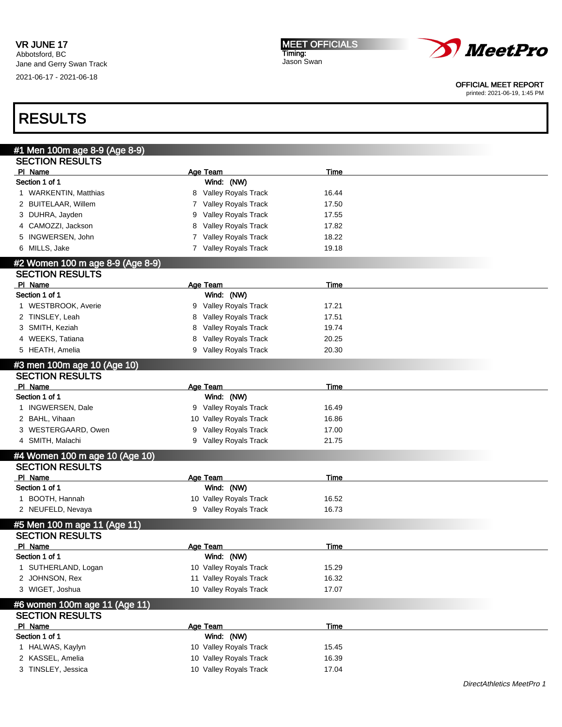



#### OFFICIAL MEET REPORT

printed: 2021-06-19, 1:45 PM

| #1 Men 100m age 8-9 (Age 8-9)    |                           |             |  |
|----------------------------------|---------------------------|-------------|--|
| <b>SECTION RESULTS</b>           |                           |             |  |
| PI Name                          | Age Team                  | Time        |  |
| Section 1 of 1                   | Wind: (NW)                |             |  |
| 1 WARKENTIN, Matthias            | 8 Valley Royals Track     | 16.44       |  |
| 2 BUITELAAR, Willem              | Valley Royals Track<br>7  | 17.50       |  |
| 3 DUHRA, Jayden                  | Valley Royals Track<br>9  | 17.55       |  |
| CAMOZZI, Jackson<br>4            | Valley Royals Track<br>8  | 17.82       |  |
| INGWERSEN, John<br>5             | Valley Royals Track<br>7  | 18.22       |  |
| 6 MILLS, Jake                    | Valley Royals Track<br>7  | 19.18       |  |
| #2 Women 100 m age 8-9 (Age 8-9) |                           |             |  |
| <b>SECTION RESULTS</b>           |                           |             |  |
| PI Name                          | Age Team                  | <b>Time</b> |  |
| Section 1 of 1                   | Wind: (NW)                |             |  |
| 1 WESTBROOK, Averie              | 9 Valley Royals Track     | 17.21       |  |
| 2 TINSLEY, Leah                  | Valley Royals Track<br>8  | 17.51       |  |
| 3 SMITH, Keziah                  | Valley Royals Track       |             |  |
|                                  | 8                         | 19.74       |  |
| 4 WEEKS, Tatiana                 | Valley Royals Track<br>8  | 20.25       |  |
| 5 HEATH, Amelia                  | 9 Valley Royals Track     | 20.30       |  |
| #3 men 100m age 10 (Age 10)      |                           |             |  |
| <b>SECTION RESULTS</b>           |                           |             |  |
| PI Name                          | Age Team                  | Time        |  |
| Section 1 of 1                   | Wind: (NW)                |             |  |
| 1 INGWERSEN, Dale                | 9 Valley Royals Track     | 16.49       |  |
| 2 BAHL, Vihaan                   | Valley Royals Track<br>10 | 16.86       |  |
| 3 WESTERGAARD, Owen              | Valley Royals Track<br>9  | 17.00       |  |
| 4 SMITH, Malachi                 | Valley Royals Track<br>9  | 21.75       |  |
| #4 Women 100 m age 10 (Age 10)   |                           |             |  |
| <b>SECTION RESULTS</b>           |                           |             |  |
| PI Name                          | Age Team                  | <b>Time</b> |  |
| Section 1 of 1                   | Wind: (NW)                |             |  |
| 1 BOOTH, Hannah                  | 10 Valley Royals Track    | 16.52       |  |
| 2 NEUFELD, Nevaya                | 9 Valley Royals Track     | 16.73       |  |
|                                  |                           |             |  |
| #5 Men 100 m age 11 (Age 11)     |                           |             |  |
| <b>SECTION RESULTS</b>           |                           |             |  |
| PI Name                          | Age Team                  | Time        |  |
| Section 1 of 1                   | Wind: (NW)                |             |  |
| 1 SUTHERLAND, Logan              | 10 Valley Royals Track    | 15.29       |  |
| 2 JOHNSON, Rex                   | 11 Valley Royals Track    | 16.32       |  |
| 3 WIGET, Joshua                  | 10 Valley Royals Track    | 17.07       |  |
| #6 women 100m age 11 (Age 11)    |                           |             |  |
| <b>SECTION RESULTS</b>           |                           |             |  |
| PI Name                          | Age Team                  | <b>Time</b> |  |
| Section 1 of 1                   | Wind: (NW)                |             |  |
| 1 HALWAS, Kaylyn                 | 10 Valley Royals Track    | 15.45       |  |
| 2 KASSEL, Amelia                 | 10 Valley Royals Track    | 16.39       |  |
| 3 TINSLEY, Jessica               | 10 Valley Royals Track    | 17.04       |  |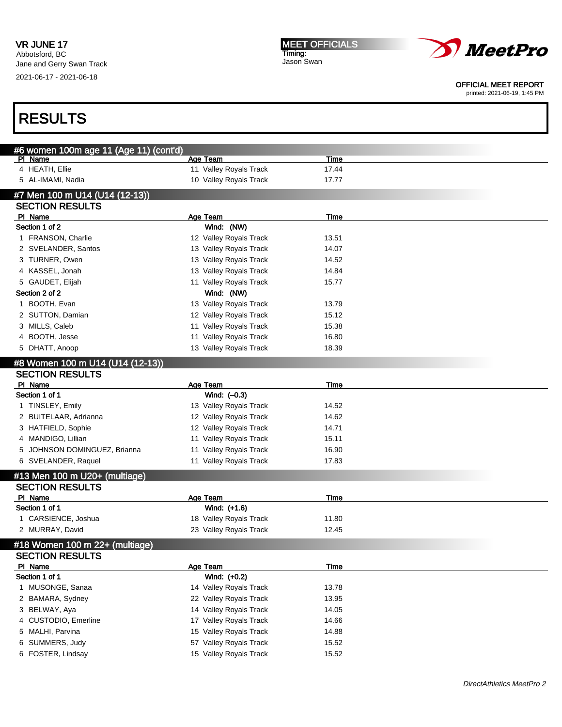Jane and Gerry Swan Track 2021-06-17 - 2021-06-18

MEET OFFICIALS Timing: Jason Swan



OFFICIAL MEET REPORT

printed: 2021-06-19, 1:45 PM

| #6 women 100m age 11 (Age 11) (cont'd)<br>PI Name | <b>Age Team</b>        | <b>Time</b> |  |
|---------------------------------------------------|------------------------|-------------|--|
| 4 HEATH, Ellie                                    | 11 Valley Royals Track | 17.44       |  |
| 5 AL-IMAMI, Nadia                                 | 10 Valley Royals Track | 17.77       |  |
| #7 Men 100 m U14 (U14 (12-13))                    |                        |             |  |
| <b>SECTION RESULTS</b>                            |                        |             |  |
| PI Name                                           | <b>Age Team</b>        | <b>Time</b> |  |
| Section 1 of 2                                    | Wind: (NW)             |             |  |
| 1 FRANSON, Charlie                                | 12 Valley Royals Track | 13.51       |  |
| 2 SVELANDER, Santos                               | 13 Valley Royals Track | 14.07       |  |
| 3 TURNER, Owen                                    | 13 Valley Royals Track | 14.52       |  |
| 4 KASSEL, Jonah                                   | 13 Valley Royals Track | 14.84       |  |
| 5 GAUDET, Elijah                                  | 11 Valley Royals Track | 15.77       |  |
| Section 2 of 2                                    | Wind: (NW)             |             |  |
| 1 BOOTH, Evan                                     | 13 Valley Royals Track | 13.79       |  |
| 2 SUTTON, Damian                                  | 12 Valley Royals Track | 15.12       |  |
| 3 MILLS, Caleb                                    | 11 Valley Royals Track | 15.38       |  |
| 4 BOOTH, Jesse                                    | 11 Valley Royals Track | 16.80       |  |
| 5 DHATT, Anoop                                    | 13 Valley Royals Track | 18.39       |  |
| #8 Women 100 m U14 (U14 (12-13))                  |                        |             |  |
| <b>SECTION RESULTS</b>                            |                        |             |  |
| PI Name                                           | Age Team               | <b>Time</b> |  |
| Section 1 of 1                                    | Wind: $(-0.3)$         |             |  |
| 1 TINSLEY, Emily                                  | 13 Valley Royals Track | 14.52       |  |
| 2 BUITELAAR, Adrianna                             | 12 Valley Royals Track | 14.62       |  |
| 3 HATFIELD, Sophie                                | 12 Valley Royals Track | 14.71       |  |
| 4 MANDIGO, Lillian                                | 11 Valley Royals Track | 15.11       |  |
| 5 JOHNSON DOMINGUEZ, Brianna                      | 11 Valley Royals Track | 16.90       |  |
| 6 SVELANDER, Raquel                               | 11 Valley Royals Track | 17.83       |  |
| #13 Men 100 m U20+ (multiage)                     |                        |             |  |
| <b>SECTION RESULTS</b>                            |                        |             |  |
| PI Name                                           | <b>Age Team</b>        | <u>Time</u> |  |
| Section 1 of 1                                    | Wind: (+1.6)           |             |  |
| 1 CARSIENCE, Joshua                               | 18 Valley Royals Track | 11.80       |  |
| 2 MURRAY, David                                   | 23 Valley Royals Track | 12.45       |  |
| #18 Women 100 m 22+ (multiage)                    |                        |             |  |
| <b>SECTION RESULTS</b>                            |                        |             |  |
| PI Name                                           | Age Team               | <u>Time</u> |  |
| Section 1 of 1                                    | Wind: (+0.2)           |             |  |
| 1 MUSONGE, Sanaa                                  | 14 Valley Royals Track | 13.78       |  |
| 2 BAMARA, Sydney                                  | 22 Valley Royals Track | 13.95       |  |
| 3 BELWAY, Aya                                     | 14 Valley Royals Track | 14.05       |  |
| 4 CUSTODIO, Emerline                              | 17 Valley Royals Track | 14.66       |  |
| 5 MALHI, Parvina                                  | 15 Valley Royals Track | 14.88       |  |
| 6 SUMMERS, Judy                                   | 57 Valley Royals Track | 15.52       |  |
| 6 FOSTER, Lindsay                                 | 15 Valley Royals Track | 15.52       |  |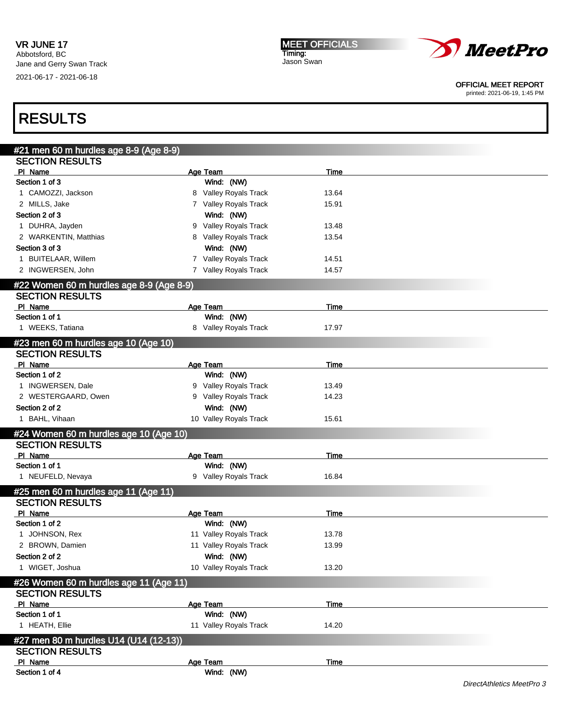### VR JUNE 17

Abbotsford, BC Jane and Gerry Swan Track 2021-06-17 - 2021-06-18

MEET OFFICIALS Timing: Jason Swan



#### OFFICIAL MEET REPORT

printed: 2021-06-19, 1:45 PM

| #21 men 60 m hurdles age 8-9 (Age 8-9)                             |                        |             |
|--------------------------------------------------------------------|------------------------|-------------|
| <b>SECTION RESULTS</b>                                             |                        |             |
| PI Name                                                            | Age Team               | <b>Time</b> |
| Section 1 of 3                                                     | Wind: (NW)             |             |
| 1 CAMOZZI, Jackson                                                 | 8 Valley Royals Track  | 13.64       |
| 2 MILLS, Jake                                                      | 7 Valley Royals Track  | 15.91       |
| Section 2 of 3                                                     | Wind: (NW)             |             |
| 1 DUHRA, Jayden                                                    | 9 Valley Royals Track  | 13.48       |
| 2 WARKENTIN, Matthias                                              | 8 Valley Royals Track  | 13.54       |
| Section 3 of 3                                                     | Wind: (NW)             |             |
| 1 BUITELAAR, Willem                                                | 7 Valley Royals Track  | 14.51       |
| 2 INGWERSEN, John                                                  | 7 Valley Royals Track  | 14.57       |
|                                                                    |                        |             |
| #22 Women 60 m hurdles age 8-9 (Age 8-9)<br><b>SECTION RESULTS</b> |                        |             |
| PI Name                                                            | Age Team               | <u>Time</u> |
| Section 1 of 1                                                     | Wind: (NW)             |             |
| 1 WEEKS, Tatiana                                                   | 8 Valley Royals Track  | 17.97       |
|                                                                    |                        |             |
| #23 men 60 m hurdles age 10 (Age 10)                               |                        |             |
| <b>SECTION RESULTS</b>                                             |                        |             |
| PI Name                                                            | <b>Age Team</b>        | <b>Time</b> |
| Section 1 of 2                                                     | Wind: (NW)             |             |
| 1 INGWERSEN, Dale                                                  | 9 Valley Royals Track  | 13.49       |
| 2 WESTERGAARD, Owen                                                | 9 Valley Royals Track  | 14.23       |
| Section 2 of 2                                                     | Wind: (NW)             |             |
| 1 BAHL, Vihaan                                                     | 10 Valley Royals Track | 15.61       |
| #24 Women 60 m hurdles age 10 (Age 10)                             |                        |             |
| <b>SECTION RESULTS</b>                                             |                        |             |
| PI Name                                                            | Age Team               | <u>Time</u> |
| Section 1 of 1                                                     | Wind: (NW)             |             |
| 1 NEUFELD, Nevaya                                                  | 9 Valley Royals Track  | 16.84       |
|                                                                    |                        |             |
| #25 men 60 m hurdles age 11 (Age 11)<br><b>SECTION RESULTS</b>     |                        |             |
| PI Name                                                            | Age Team               | <b>Time</b> |
| Section 1 of 2                                                     | Wind: (NW)             |             |
| 1 JOHNSON, Rex                                                     | 11 Valley Royals Track | 13.78       |
| 2 BROWN, Damien                                                    | 11 Valley Royals Track | 13.99       |
| Section 2 of 2                                                     | Wind: (NW)             |             |
| 1 WIGET, Joshua                                                    | 10 Valley Royals Track |             |
|                                                                    |                        | 13.20       |
| #26 Women 60 m hurdles age 11 (Age 11)                             |                        |             |
| <b>SECTION RESULTS</b>                                             |                        |             |
| PI Name                                                            | Age Team               | <b>Time</b> |
| Section 1 of 1                                                     | Wind: (NW)             |             |
| 1 HEATH, Ellie                                                     | 11 Valley Royals Track | 14.20       |
| #27 men 80 m hurdles U14 (U14 (12-13))                             |                        |             |
| <b>SECTION RESULTS</b>                                             |                        |             |
| PI Name                                                            | <b>Age Team</b>        | <b>Time</b> |
| Section 1 of 4                                                     | Wind: (NW)             |             |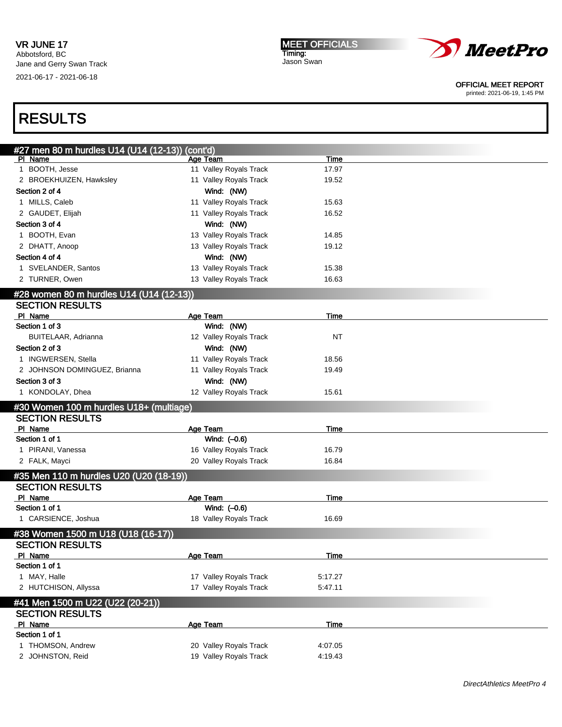

### OFFICIAL MEET REPORT

printed: 2021-06-19, 1:45 PM

| #27 men 80 m hurdles U14 (U14 (12-13)) (cont'd)            |                        |             |  |
|------------------------------------------------------------|------------------------|-------------|--|
| PI Name                                                    | Age Team               | Time        |  |
| 1 BOOTH, Jesse                                             | 11 Valley Royals Track | 17.97       |  |
| 2 BROEKHUIZEN, Hawksley                                    | 11 Valley Royals Track | 19.52       |  |
| Section 2 of 4                                             | Wind: (NW)             |             |  |
| 1 MILLS, Caleb                                             | 11 Valley Royals Track | 15.63       |  |
| 2 GAUDET, Elijah                                           | 11 Valley Royals Track | 16.52       |  |
| Section 3 of 4                                             | Wind: (NW)             |             |  |
| 1 BOOTH, Evan                                              | 13 Valley Royals Track | 14.85       |  |
| 2 DHATT, Anoop                                             | 13 Valley Royals Track | 19.12       |  |
| Section 4 of 4                                             | Wind: (NW)             |             |  |
| 1 SVELANDER, Santos                                        | 13 Valley Royals Track | 15.38       |  |
| 2 TURNER, Owen                                             | 13 Valley Royals Track | 16.63       |  |
| #28 women 80 m hurdles U14 (U14 (12-13))                   |                        |             |  |
| <b>SECTION RESULTS</b>                                     |                        |             |  |
| PI Name                                                    | Age Team               | Time        |  |
| Section 1 of 3                                             | Wind: (NW)             |             |  |
| BUITELAAR, Adrianna                                        | 12 Valley Royals Track | ΝT          |  |
| Section 2 of 3                                             | Wind: (NW)             |             |  |
| 1 INGWERSEN, Stella                                        | 11 Valley Royals Track | 18.56       |  |
| 2 JOHNSON DOMINGUEZ, Brianna                               | 11 Valley Royals Track | 19.49       |  |
| Section 3 of 3                                             | Wind: (NW)             |             |  |
| 1 KONDOLAY, Dhea                                           | 12 Valley Royals Track | 15.61       |  |
| #30 Women 100 m hurdles U18+ (multiage)                    |                        |             |  |
| <b>SECTION RESULTS</b>                                     |                        |             |  |
| PI Name                                                    | Age Team               | Time        |  |
| Section 1 of 1                                             | Wind: (-0.6)           |             |  |
| 1 PIRANI, Vanessa                                          | 16 Valley Royals Track | 16.79       |  |
| 2 FALK, Mayci                                              | 20 Valley Royals Track | 16.84       |  |
| #35 Men 110 m hurdles U20 (U20 (18-19))                    |                        |             |  |
| <b>SECTION RESULTS</b>                                     |                        |             |  |
| PI Name                                                    | Age Team               | Time        |  |
| Section 1 of 1                                             | Wind: (-0.6)           |             |  |
| 1 CARSIENCE, Joshua                                        | 18 Valley Royals Track | 16.69       |  |
| #38 Women 1500 m U18 (U18 (16-17))                         |                        |             |  |
| <b>SECTION RESULTS</b>                                     |                        |             |  |
| PI Name                                                    | Age Team               | <u>Time</u> |  |
| Section 1 of 1                                             |                        |             |  |
| 1 MAY, Halle                                               | 17 Valley Royals Track | 5:17.27     |  |
| 2 HUTCHISON, Allyssa                                       | 17 Valley Royals Track | 5:47.11     |  |
|                                                            |                        |             |  |
| #41 Men 1500 m U22 (U22 (20-21))<br><b>SECTION RESULTS</b> |                        |             |  |
| PI Name                                                    | Age Team               | <u>Time</u> |  |
| Section 1 of 1                                             |                        |             |  |
| 1 THOMSON, Andrew                                          | 20 Valley Royals Track | 4:07.05     |  |
| 2 JOHNSTON, Reid                                           | 19 Valley Royals Track | 4:19.43     |  |
|                                                            |                        |             |  |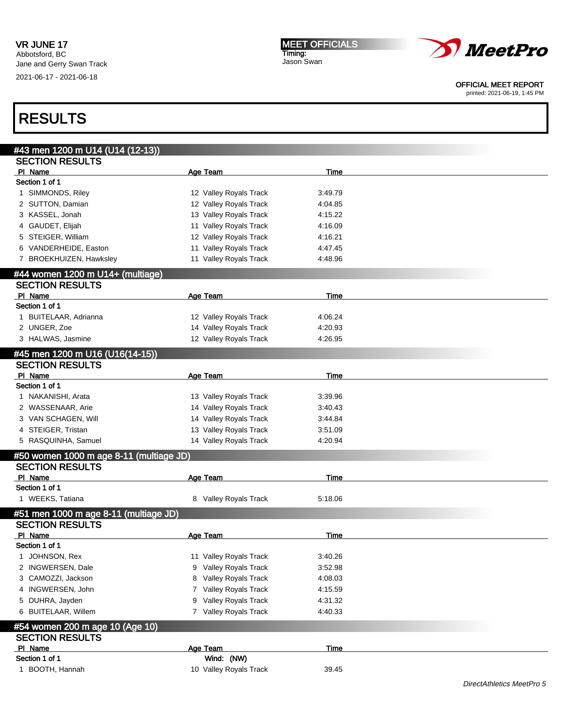MEET OFFICIALS Timing: Jason Swan



#### OFFICIAL MEET REPORT

printed: 2021-06-19, 1:45 PM

| #43 men 1200 m U14 (U14 (12-13))        |                          |             |  |
|-----------------------------------------|--------------------------|-------------|--|
| <b>SECTION RESULTS</b>                  |                          |             |  |
| PI Name                                 | <b>Age Team</b>          | <b>Time</b> |  |
| Section 1 of 1                          |                          |             |  |
| 1 SIMMONDS, Riley                       | 12 Valley Royals Track   | 3:49.79     |  |
| 2 SUTTON, Damian                        | 12 Valley Royals Track   | 4:04.85     |  |
| 3 KASSEL, Jonah                         | 13 Valley Royals Track   | 4:15.22     |  |
| 4 GAUDET, Elijah                        | 11 Valley Royals Track   | 4:16.09     |  |
| 5 STEIGER, William                      | 12 Valley Royals Track   | 4:16.21     |  |
| 6 VANDERHEIDE, Easton                   | 11 Valley Royals Track   | 4:47.45     |  |
| 7 BROEKHUIZEN, Hawksley                 | 11 Valley Royals Track   | 4:48.96     |  |
|                                         |                          |             |  |
| #44 women 1200 m U14+ (multiage)        |                          |             |  |
| <b>SECTION RESULTS</b>                  |                          |             |  |
| PI Name<br>Section 1 of 1               | Age Team                 | Time        |  |
|                                         |                          |             |  |
| 1 BUITELAAR, Adrianna                   | 12 Valley Royals Track   | 4:06.24     |  |
| 2 UNGER, Zoe                            | 14 Valley Royals Track   | 4:20.93     |  |
| 3 HALWAS, Jasmine                       | 12 Valley Royals Track   | 4:26.95     |  |
| #45 men 1200 m U16 (U16(14-15))         |                          |             |  |
| <b>SECTION RESULTS</b>                  |                          |             |  |
| PI Name                                 | <b>Age Team</b>          | Time        |  |
| Section 1 of 1                          |                          |             |  |
| 1 NAKANISHI, Arata                      | 13 Valley Royals Track   | 3:39.96     |  |
| 2 WASSENAAR, Arie                       | 14 Valley Royals Track   | 3:40.43     |  |
| 3 VAN SCHAGEN, Will                     | 14 Valley Royals Track   | 3:44.84     |  |
| 4 STEIGER, Tristan                      | 13 Valley Royals Track   | 3:51.09     |  |
| 5 RASQUINHA, Samuel                     | 14 Valley Royals Track   | 4:20.94     |  |
| #50 women 1000 m age 8-11 (multiage JD) |                          |             |  |
| <b>SECTION RESULTS</b>                  |                          |             |  |
| PI Name                                 | <b>Age Team</b>          | <b>Time</b> |  |
| Section 1 of 1                          |                          |             |  |
| 1 WEEKS, Tatiana                        | 8 Valley Royals Track    | 5:18.06     |  |
|                                         |                          |             |  |
| #51 men 1000 m age 8-11 (multiage JD)   |                          |             |  |
| <b>SECTION RESULTS</b>                  |                          |             |  |
| PI Name<br>Section 1 of 1               | Age Team                 | Time        |  |
|                                         |                          |             |  |
| JOHNSON, Rex<br>1                       | 11 Valley Royals Track   | 3:40.26     |  |
| 2 INGWERSEN, Dale                       | Valley Royals Track<br>9 | 3:52.98     |  |
| 3 CAMOZZI, Jackson                      | Valley Royals Track<br>8 | 4:08.03     |  |
| 4 INGWERSEN, John                       | Valley Royals Track<br>7 | 4:15.59     |  |
| 5 DUHRA, Jayden                         | Valley Royals Track<br>9 | 4:31.32     |  |
| 6 BUITELAAR, Willem                     | 7 Valley Royals Track    | 4:40.33     |  |
| #54 women 200 m age 10 (Age 10)         |                          |             |  |
| <b>SECTION RESULTS</b>                  |                          |             |  |
| PI Name                                 | Age Team                 | <b>Time</b> |  |
| Section 1 of 1                          | Wind: (NW)               |             |  |
| 1 BOOTH, Hannah                         | 10 Valley Royals Track   | 39.45       |  |
|                                         |                          |             |  |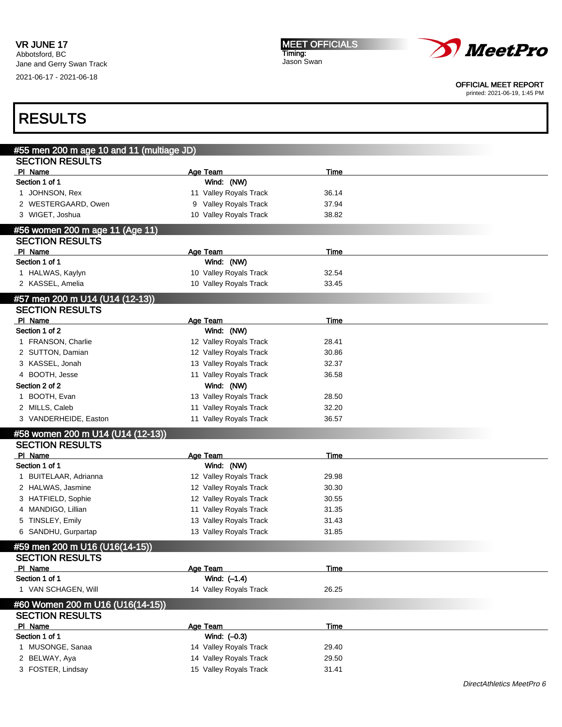

OFFICIAL MEET REPORT

printed: 2021-06-19, 1:45 PM

### #55 men 200 m age 10 and 11 (multiage JD) SECTION RESULTS **Pl Name** Time **Age Team** Age Team Time Section 1 of 1 Wind: (NW) 1 JOHNSON, Rex 11 Valley Royals Track 36.14 2 WESTERGAARD, Owen 9 Valley Royals Track 37.94 3 WIGET, Joshua 10 Valley Royals Track 38.82 #56 women 200 m age 11 (Age 11) SECTION RESULTS Pl Name Time Age Team Age Team Time Section 1 of 1 Wind: (NW) 1 HALWAS, Kaylyn 10 Valley Royals Track 32.54 2 KASSEL, Amelia 10 Valley Royals Track 33.45 #57 men 200 m U14 (U14 (12-13)) SECTION RESULTS PI Name **Age Team Age Team** Age Team Time Section 1 of 2 Wind: (NW) 1 FRANSON, Charlie 12 Valley Royals Track 28.41 2 SUTTON, Damian 12 Valley Royals Track 30.86 3 KASSEL, Jonah 13 Valley Royals Track 32.37 4 BOOTH, Jesse 26.58 Section 2 of 2 Wind: (NW) 1 BOOTH, Evan 13 Valley Royals Track 28.50 2 MILLS, Caleb 11 Valley Royals Track 32.20 3 VANDERHEIDE, Easton 11 Valley Royals Track 36.57 #58 women 200 m U14 (U14 (12-13)) SECTION RESULTS Pl Name Time Age Team Age Team Time Section 1 of 1 Wind: (NW) 1 BUITELAAR, Adrianna 12 Valley Royals Track 29.98 2 HALWAS, Jasmine 12 Valley Royals Track 30.30 3 HATFIELD, Sophie 12 Valley Royals Track 30.55 4 MANDIGO, Lillian 11 Valley Royals Track 31.35 5 TINSLEY, Emily 13 Valley Royals Track 31.43 6 SANDHU, Gurpartap 13 Valley Royals Track 31.85 #59 men 200 m U16 (U16(14-15)) SECTION RESULTS PI Name Team Age Team Age Team Time Section 1 of 1 Wind:  $(-1.4)$ 1 VAN SCHAGEN, Will 14 Valley Royals Track 26.25 #60 Women 200 m U16 (U16(14-15)) SECTION RESULTS **Pl Name** Time **Age Team** Age Team Time Section 1 of 1 Wind:  $(-0.3)$ 1 MUSONGE, Sanaa 14 Valley Royals Track 29.40 2 BELWAY, Aya 14 Valley Royals Track 29.50 3 FOSTER, Lindsay 15 Valley Royals Track 31.41 RESULTS